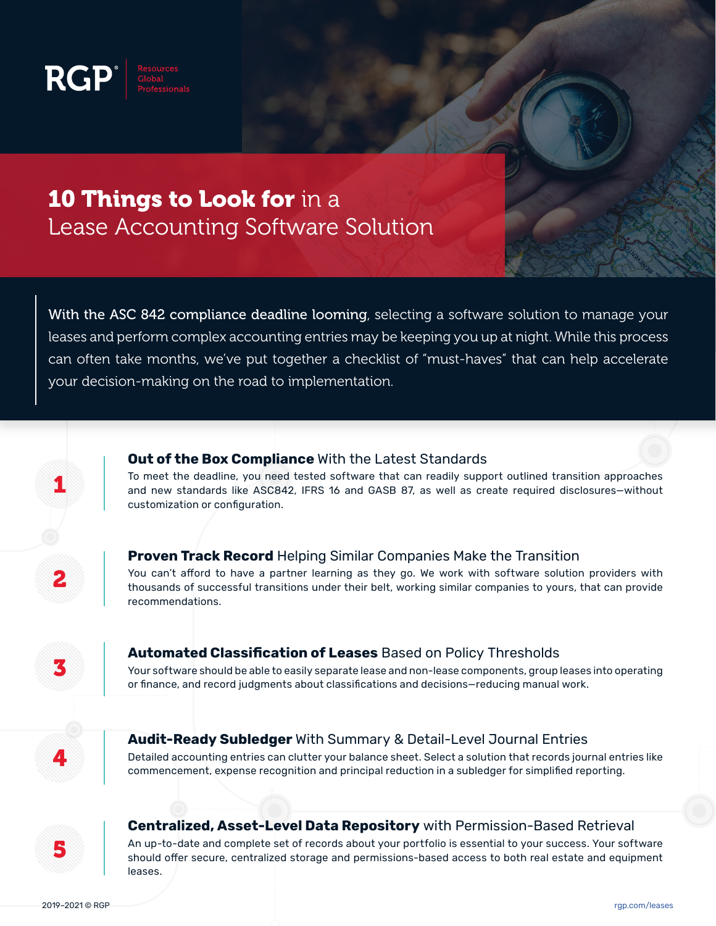

# **10 Things to Look for** in a Lease Accounting Software Solution

With the ASC 842 compliance deadline looming, selecting a software solution to manage your leases and perform complex accounting entries may be keeping you up at night. While this process can often take months, we've put together a checklist of "must-haves" that can help accelerate your decision-making on the road to implementation.

#### **Out of the Box Compliance** With the Latest Standards

To meet the deadline, you need tested software that can readily support outlined transition approaches and new standards like ASC842, IFRS 16 and GASB 87, as well as create required disclosures—without customization or configuration.

2

1

#### **Proven Track Record** Helping Similar Companies Make the Transition

You can't afford to have a partner learning as they go. We work with software solution providers with thousands of successful transitions under their belt, working similar companies to yours, that can provide recommendations.

3

### **Automated Classification of Leases** Based on Policy Thresholds

Your software should be able to easily separate lease and non-lease components, group leases into operating or finance, and record judgments about classifications and decisions—reducing manual work.

4

#### **Audit-Ready Subledger** With Summary & Detail-Level Journal Entries

Detailed accounting entries can clutter your balance sheet. Select a solution that records journal entries like commencement, expense recognition and principal reduction in a subledger for simplified reporting.

5

**Centralized, Asset-Level Data Repository** with Permission-Based Retrieval

An up-to-date and complete set of records about your portfolio is essential to your success. Your software should offer secure, centralized storage and permissions-based access to both real estate and equipment leases.